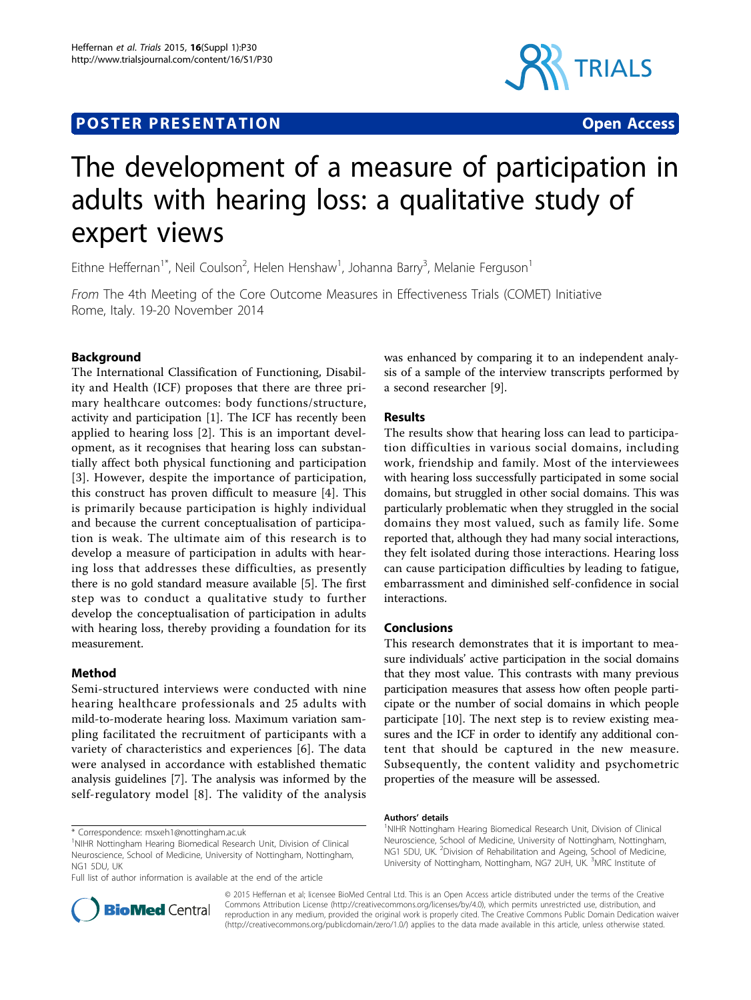# **POSTER PRESENTATION CONSUMING THE SERVICE SERVICE SERVICE SERVICES**



# The development of a measure of participation in adults with hearing loss: a qualitative study of expert views

Eithne Heffernan<sup>1\*</sup>, Neil Coulson<sup>2</sup>, Helen Henshaw<sup>1</sup>, Johanna Barry<sup>3</sup>, Melanie Ferguson<sup>1</sup>

From The 4th Meeting of the Core Outcome Measures in Effectiveness Trials (COMET) Initiative Rome, Italy. 19-20 November 2014

# Background

The International Classification of Functioning, Disability and Health (ICF) proposes that there are three primary healthcare outcomes: body functions/structure, activity and participation [[1](#page-1-0)]. The ICF has recently been applied to hearing loss [[2\]](#page-1-0). This is an important development, as it recognises that hearing loss can substantially affect both physical functioning and participation [[3](#page-1-0)]. However, despite the importance of participation, this construct has proven difficult to measure [[4\]](#page-1-0). This is primarily because participation is highly individual and because the current conceptualisation of participation is weak. The ultimate aim of this research is to develop a measure of participation in adults with hearing loss that addresses these difficulties, as presently there is no gold standard measure available [[5\]](#page-1-0). The first step was to conduct a qualitative study to further develop the conceptualisation of participation in adults with hearing loss, thereby providing a foundation for its measurement.

# Method

Semi-structured interviews were conducted with nine hearing healthcare professionals and 25 adults with mild-to-moderate hearing loss. Maximum variation sampling facilitated the recruitment of participants with a variety of characteristics and experiences [[6\]](#page-1-0). The data were analysed in accordance with established thematic analysis guidelines [[7](#page-1-0)]. The analysis was informed by the self-regulatory model [[8](#page-1-0)]. The validity of the analysis

\* Correspondence: [msxeh1@nottingham.ac.uk](mailto:msxeh1@nottingham.ac.uk)

Full list of author information is available at the end of the article



# Results

The results show that hearing loss can lead to participation difficulties in various social domains, including work, friendship and family. Most of the interviewees with hearing loss successfully participated in some social domains, but struggled in other social domains. This was particularly problematic when they struggled in the social domains they most valued, such as family life. Some reported that, although they had many social interactions, they felt isolated during those interactions. Hearing loss can cause participation difficulties by leading to fatigue, embarrassment and diminished self-confidence in social interactions.

### Conclusions

This research demonstrates that it is important to measure individuals' active participation in the social domains that they most value. This contrasts with many previous participation measures that assess how often people participate or the number of social domains in which people participate [\[10\]](#page-1-0). The next step is to review existing measures and the ICF in order to identify any additional content that should be captured in the new measure. Subsequently, the content validity and psychometric properties of the measure will be assessed.

#### Authors' details <sup>1</sup>

<sup>1</sup>NIHR Nottingham Hearing Biomedical Research Unit, Division of Clinical Neuroscience, School of Medicine, University of Nottingham, Nottingham, NG1 5DU, UK. <sup>2</sup>Division of Rehabilitation and Ageing, School of Medicine University of Nottingham, Nottingham, NG7 2UH, UK. <sup>3</sup>MRC Institute of



© 2015 Heffernan et al; licensee BioMed Central Ltd. This is an Open Access article distributed under the terms of the Creative Commons Attribution License [\(http://creativecommons.org/licenses/by/4.0](http://creativecommons.org/licenses/by/4.0)), which permits unrestricted use, distribution, and reproduction in any medium, provided the original work is properly cited. The Creative Commons Public Domain Dedication waiver [\(http://creativecommons.org/publicdomain/zero/1.0/](http://creativecommons.org/publicdomain/zero/1.0/)) applies to the data made available in this article, unless otherwise stated.

<sup>&</sup>lt;sup>1</sup>NIHR Nottingham Hearing Biomedical Research Unit, Division of Clinical Neuroscience, School of Medicine, University of Nottingham, Nottingham, NG1 5DU, UK